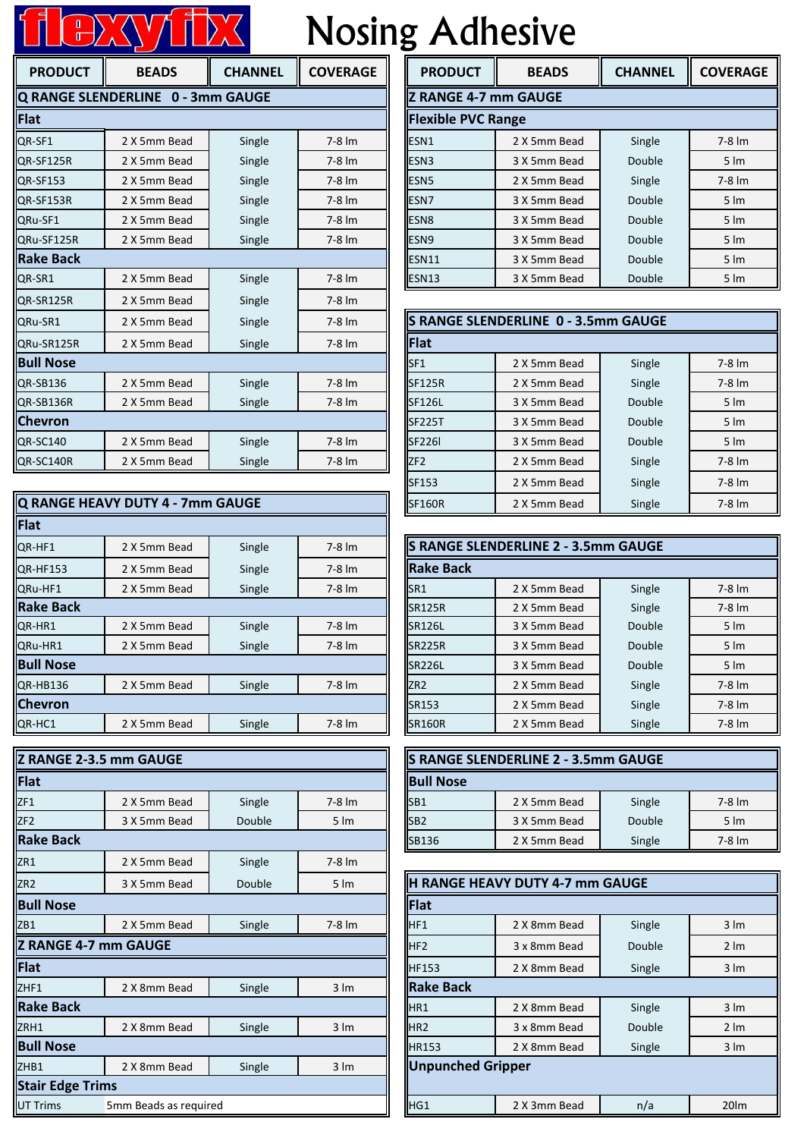## Nosing Adhesive

| <b>Nosing Adhesive</b><br>$\frac{0}{0}$ |                                   |                |                      |                             |                                     |                |               |
|-----------------------------------------|-----------------------------------|----------------|----------------------|-----------------------------|-------------------------------------|----------------|---------------|
| <b>PRODUCT</b>                          | <b>BEADS</b>                      | <b>CHANNEL</b> | <b>COVERAGE</b>      | <b>PRODUCT</b>              | <b>BEADS</b>                        | <b>CHANNEL</b> | <b>COVERA</b> |
|                                         | Q RANGE SLENDERLINE 0 - 3mm GAUGE |                |                      | <b>Z RANGE 4-7 mm GAUGE</b> |                                     |                |               |
| Flat                                    |                                   |                |                      | <b>Flexible PVC Range</b>   |                                     |                |               |
| OR-SF1                                  | 2 X 5mm Bead                      | Single         | $7-8 \, \text{Im}$   | ESN1                        | 2 X 5mm Bead                        | Single         |               |
| QR-SF125R                               | 2 X 5mm Bead                      | Single         | $7-8 \, \text{Im}$   | ESN <sub>3</sub>            | 3 X 5mm Bead                        | Double         |               |
| QR-SF153                                | 2 X 5mm Bead                      | Single         | $7-8 \, \text{Im}$   | ESN <sub>5</sub>            | 2 X 5mm Bead                        | Single         |               |
| QR-SF153R                               | 2 X 5mm Bead                      | Single         | $7-8 \, \text{Im}$   | ESN7                        | 3 X 5mm Bead                        | Double         |               |
| QRu-SF1                                 | 2 X 5mm Bead                      | Single         | $7-8$ $\text{Im}$    | ESN <sub>8</sub>            | 3 X 5mm Bead                        | Double         |               |
| ORu-SF125R                              | 2 X 5mm Bead                      | Single         | $7-8$ $\text{Im}$    | ESN <sub>9</sub>            | 3 X 5mm Bead                        | Double         |               |
| <b>Rake Back</b>                        |                                   |                |                      | <b>ESN11</b>                | 3 X 5mm Bead                        | Double         |               |
| QR-SR1                                  | 2 X 5mm Bead                      | Single         | $7-8 \, \text{Im}$   | <b>ESN13</b>                | 3 X 5mm Bead                        | Double         |               |
| QR-SR125R                               | 2 X 5mm Bead                      | Single         | $7-8 \, \text{Im}$   |                             |                                     |                |               |
| QRu-SR1                                 | 2 X 5mm Bead                      | Single         | $7-8$ $\text{Im}$    |                             | S RANGE SLENDERLINE 0 - 3.5mm GAUGE |                |               |
| QRu-SR125R                              | 2 X 5mm Bead                      | Single         | $7-8$ $\text{Im}$    | <b>Flat</b>                 |                                     |                |               |
| <b>Bull Nose</b>                        |                                   |                |                      | SF <sub>1</sub>             | 2 X 5mm Bead                        | Single         |               |
| QR-SB136                                | 2 X 5mm Bead                      | Single         | $7-8 \, \text{Im}$   | <b>SF125R</b>               | 2 X 5mm Bead                        | Single         |               |
| QR-SB136R                               | 2 X 5mm Bead                      | Single         | $7-8 \, \mathrm{Im}$ | SF126L                      | 3 X 5mm Bead                        | Double         |               |
| <b>Chevron</b>                          |                                   |                |                      | <b>SF225T</b>               | 3 X 5mm Bead                        | Double         |               |
| QR-SC140                                | 2 X 5mm Bead                      | Single         | $7-8$ $\text{Im}$    | <b>SF226I</b>               | 3 X 5mm Bead                        | Double         |               |
| QR-SC140R                               | 2 X 5mm Bead                      | Single         | $7-8$ $\text{Im}$    | ZF <sub>2</sub>             | 2 X 5mm Bead                        | Single         |               |

|                  | Q RANGE HEAVY DUTY 4 - 7mm GAUGE |        |                   | <b>SF160R</b>                              | 2 X 5mm Bead | Single            | $7-8$ $\text{Im}$ |
|------------------|----------------------------------|--------|-------------------|--------------------------------------------|--------------|-------------------|-------------------|
| Flat             |                                  |        |                   |                                            |              |                   |                   |
| QR-HF1           | 2 X 5mm Bead                     | Single | $7-8$ $\text{Im}$ | <b>S RANGE SLENDERLINE 2 - 3.5mm GAUGE</b> |              |                   |                   |
| <b>QR-HF153</b>  | 2 X 5mm Bead                     | Single | $7-8$ $\text{Im}$ | <b>Rake Back</b>                           |              |                   |                   |
| QRu-HF1          | 2 X 5mm Bead                     | Single | $7-8$ $\text{Im}$ | SR1                                        | 2 X 5mm Bead | Single            | $7-8$ $\text{Im}$ |
| <b>Rake Back</b> |                                  |        |                   | <b>SR125R</b>                              | 2 X 5mm Bead | Single            | $7-8$ $\text{Im}$ |
| QR-HR1           | 2 X 5mm Bead                     | Single | $7-8$ $\text{Im}$ | <b>SR126L</b>                              | 3 X 5mm Bead | Double            | $5 \, \text{Im}$  |
| QRu-HR1          | 2 X 5mm Bead                     | Single | $7-8$ $\text{Im}$ | <b>SR225R</b>                              | 3 X 5mm Bead | Double            | $5 \, \text{Im}$  |
| <b>Bull Nose</b> |                                  |        |                   | <b>SR226L</b>                              | 3 X 5mm Bead | Double            | $5 \, \text{Im}$  |
| QR-HB136         | 2 X 5mm Bead                     | Single | $7-8$ $\text{Im}$ | ZR <sub>2</sub>                            | 2 X 5mm Bead | Single            | $7-8$ $\text{Im}$ |
| <b>Chevron</b>   |                                  |        | SR153             | 2 X 5mm Bead                               | Single       | $7-8$ $\text{Im}$ |                   |
| QR-HC1           | 2 X 5mm Bead                     | Single | $7-8$ $\text{Im}$ | <b>SR160R</b>                              | 2 X 5mm Bead | Single            | $7-8$ $\text{Im}$ |

| Z RANGE 2-3.5 mm GAUGE                                        |                       |        |                  |                          |                  | S RANGE SLENDERLINE 2 - 3.5mm GAUGE |        |                  |
|---------------------------------------------------------------|-----------------------|--------|------------------|--------------------------|------------------|-------------------------------------|--------|------------------|
|                                                               |                       |        |                  |                          |                  |                                     |        |                  |
| Flat                                                          |                       |        |                  |                          | <b>Bull Nose</b> |                                     |        |                  |
| ZF1                                                           | 2 X 5mm Bead          | Single | 7-8 lm           | SB1                      |                  | 2 X 5mm Bead                        | Single | 7-8 lm           |
| ZF <sub>2</sub>                                               | 3 X 5mm Bead          | Double | $5 \, \text{Im}$ | SB <sub>2</sub>          |                  | 3 X 5mm Bead                        | Double | $5 \, \text{Im}$ |
| <b>Rake Back</b>                                              |                       |        | SB136            |                          | 2 X 5mm Bead     | Single                              | 7-8 lm |                  |
| ZR1                                                           | 2 X 5mm Bead          | Single | 7-8 lm           |                          |                  |                                     |        |                  |
| ZR <sub>2</sub><br>Double<br>3 X 5mm Bead<br>$5 \, \text{Im}$ |                       |        |                  |                          |                  | H RANGE HEAVY DUTY 4-7 mm GAUGE     |        |                  |
| <b>Bull Nose</b>                                              |                       |        | Flat             |                          |                  |                                     |        |                  |
| ZB1                                                           | 2 X 5mm Bead          | Single | 7-8 lm           | HF1                      |                  | 2 X 8mm Bead                        | Single | $3 \, \text{Im}$ |
| <b>Z RANGE 4-7 mm GAUGE</b>                                   |                       |        |                  | HF <sub>2</sub>          |                  | 3 x 8mm Bead                        | Double | $2 \, \text{Im}$ |
| Flat                                                          |                       |        |                  | <b>HF153</b>             |                  | 2 X 8mm Bead                        | Single | $3 \, \text{Im}$ |
| ZHF1                                                          | 2 X 8mm Bead          | Single | $3 \, \text{Im}$ |                          | <b>Rake Back</b> |                                     |        |                  |
| <b>Rake Back</b>                                              |                       |        |                  | HR1                      |                  | 2 X 8mm Bead                        | Single | $3 \, \text{Im}$ |
| ZRH1                                                          | 2 X 8mm Bead          | Single | $3 \, \text{Im}$ | HR <sub>2</sub>          |                  | 3 x 8mm Bead                        | Double | $2 \, \text{Im}$ |
| <b>Bull Nose</b>                                              |                       |        |                  | <b>HR153</b>             |                  | 2 X 8mm Bead                        | Single | $3 \, \text{Im}$ |
| ZHB1                                                          | 2 X 8mm Bead          | Single | $3 \, \text{Im}$ | <b>Unpunched Gripper</b> |                  |                                     |        |                  |
| <b>Stair Edge Trims</b>                                       |                       |        |                  |                          |                  |                                     |        |                  |
| <b>UT Trims</b>                                               | 5mm Beads as required |        |                  | HG1                      |                  | 2 X 3mm Bead                        | n/a    | 20lm             |

|              | <b>RANGE SLENDERLINE 0 - 3mm GAUGE</b> |                    |                  |              | <b>IZ RANGE 4-7 mm GAUGE</b> |                   |  |  |  |
|--------------|----------------------------------------|--------------------|------------------|--------------|------------------------------|-------------------|--|--|--|
|              | at                                     |                    |                  |              |                              |                   |  |  |  |
| 2 X 5mm Bead | Single                                 | $7-8$ $\text{Im}$  | <b>ESN1</b>      | 2 X 5mm Bead | Single                       | $7-8$ $\text{Im}$ |  |  |  |
| 2 X 5mm Bead | Single                                 | $7-8$ $\text{Im}$  | ESN <sub>3</sub> | 3 X 5mm Bead | Double                       | $5 \, \text{Im}$  |  |  |  |
| 2 X 5mm Bead | Single                                 | $7-8$ $\text{Im}$  | <b>ESN5</b>      | 2 X 5mm Bead | Single                       | $7-8$ $\text{Im}$ |  |  |  |
| 2 X 5mm Bead | Single                                 | $7-8 \, \text{Im}$ | ESN <sub>7</sub> | 3 X 5mm Bead | Double                       | $5 \, \text{Im}$  |  |  |  |
| 2 X 5mm Bead | Single                                 | $7-8$ $\text{Im}$  | ESN <sub>8</sub> | 3 X 5mm Bead | Double                       | $5 \, \text{Im}$  |  |  |  |
| 2 X 5mm Bead | Single                                 | $7-8 \, \text{Im}$ | ESN <sub>9</sub> | 3 X 5mm Bead | Double                       | $5 \, \text{Im}$  |  |  |  |
|              |                                        |                    | <b>ESN11</b>     | 3 X 5mm Bead | Double                       | $5 \, \text{Im}$  |  |  |  |
| 2 X 5mm Bead | Single                                 | $7-8 \, \text{Im}$ | ESN13            | 3 X 5mm Bead | Double                       | $5 \, \text{Im}$  |  |  |  |
|              |                                        |                    |                  |              | <b>Flexible PVC Range</b>    |                   |  |  |  |

| S RANGE SLENDERLINE 0 - 3.5mm GAUGE |              |        |                      |  |  |  |  |
|-------------------------------------|--------------|--------|----------------------|--|--|--|--|
| Flat                                |              |        |                      |  |  |  |  |
| SF <sub>1</sub>                     | 2 X 5mm Bead | Single | $7-8 \, \mathrm{Im}$ |  |  |  |  |
| <b>SF125R</b>                       | 2 X 5mm Bead | Single | $7-8$ $\text{Im}$    |  |  |  |  |
| <b>SF126L</b>                       | 3 X 5mm Bead | Double | $5 \, \text{Im}$     |  |  |  |  |
| <b>SF225T</b>                       | 3 X 5mm Bead | Double | $5 \, \text{Im}$     |  |  |  |  |
| <b>SF226I</b>                       | 3 X 5mm Bead | Double | $5 \, \text{Im}$     |  |  |  |  |
| ZF2                                 | 2 X 5mm Bead | Single | $7-8$ $\text{Im}$    |  |  |  |  |
| SF153                               | 2 X 5mm Bead | Single | $7-8$ $\text{Im}$    |  |  |  |  |
| <b>SF160R</b>                       | 2 X 5mm Bead | Single | $7-8 \, \mathrm{Im}$ |  |  |  |  |

| S RANGE SLENDERLINE 2 - 3.5mm GAUGE |              |        |                      |  |  |  |  |
|-------------------------------------|--------------|--------|----------------------|--|--|--|--|
| <b>Rake Back</b>                    |              |        |                      |  |  |  |  |
| SR <sub>1</sub>                     | 2 X 5mm Bead | Single | $7-8$ $\text{Im}$    |  |  |  |  |
| <b>SR125R</b>                       | 2 X 5mm Bead | Single | $7-8 \, \mathrm{Im}$ |  |  |  |  |
| SR126L                              | 3 X 5mm Bead | Double | $5 \, \text{Im}$     |  |  |  |  |
| <b>SR225R</b>                       | 3 X 5mm Bead | Double | $5 \, \text{Im}$     |  |  |  |  |
| <b>SR226L</b>                       | 3 X 5mm Bead | Double | $5 \, \text{Im}$     |  |  |  |  |
| ZR <sub>2</sub>                     | 2 X 5mm Bead | Single | $7-8$ $\text{Im}$    |  |  |  |  |
| SR153                               | 2 X 5mm Bead | Single | $7-8$ $\text{Im}$    |  |  |  |  |
| <b>SR160R</b>                       | 2 X 5mm Bead | Single | 7-8 lm               |  |  |  |  |

| S RANGE SLENDERLINE 2 - 3.5mm GAUGE |              |        |                      |  |  |  |
|-------------------------------------|--------------|--------|----------------------|--|--|--|
| <b>Bull Nose</b>                    |              |        |                      |  |  |  |
| SB <sub>1</sub>                     | 2 X 5mm Bead | Single | $7-8 \, \mathrm{Im}$ |  |  |  |
| SB <sub>2</sub>                     | 3 X 5mm Bead | Double | $5 \, \text{Im}$     |  |  |  |
| SB136                               | 2 X 5mm Bead | Single | $7-8 \, \mathrm{Im}$ |  |  |  |

| <b>H RANGE HEAVY DUTY 4-7 mm GAUGE</b> |              |                            |                  |  |  |  |
|----------------------------------------|--------------|----------------------------|------------------|--|--|--|
| Flat                                   |              |                            |                  |  |  |  |
| <b>II</b> HF1                          | 2 X 8mm Bead | Single                     | $3 \, \text{Im}$ |  |  |  |
| HF <sub>2</sub>                        | 3 x 8mm Bead | Double                     | $2 \, \text{Im}$ |  |  |  |
| <b>HF153</b>                           | 2 X 8mm Bead | Single<br>$3 \, \text{Im}$ |                  |  |  |  |
| <b>Rake Back</b>                       |              |                            |                  |  |  |  |
| HR1                                    | 2 X 8mm Bead | Single                     | $3 \, \text{Im}$ |  |  |  |
| HR <sub>2</sub>                        | 3 x 8mm Bead | Double                     | $2 \, \text{Im}$ |  |  |  |
| <b>HR153</b>                           | 2 X 8mm Bead | $3 \, \text{Im}$<br>Single |                  |  |  |  |
| <b>Unpunched Gripper</b>               |              |                            |                  |  |  |  |
| HG1                                    | 2 X 3mm Bead | n/a                        | 20lm             |  |  |  |